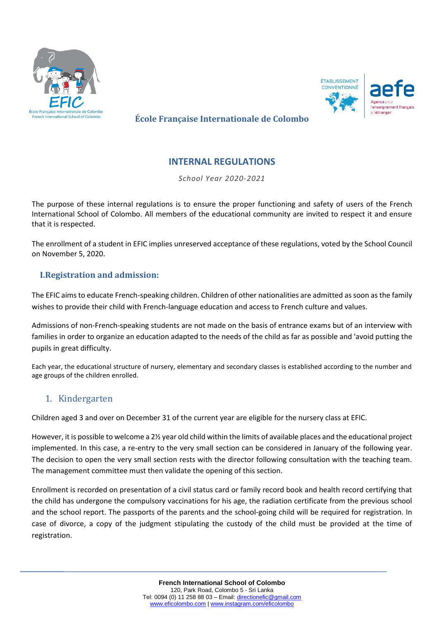



**École Française Internationale de Colombo**

# **INTERNAL REGULATIONS**

*School Year 2020-2021*

The purpose of these internal regulations is to ensure the proper functioning and safety of users of the French International School of Colombo. All members of the educational community are invited to respect it and ensure that it is respected.

The enrollment of a student in EFIC implies unreserved acceptance of these regulations, voted by the School Council on November 5, 2020.

### **I.Registration and admission:**

The EFIC aims to educate French-speaking children. Children of other nationalities are admitted as soon as the family wishes to provide their child with French-language education and access to French culture and values.

Admissions of non-French-speaking students are not made on the basis of entrance exams but of an interview with families in order to organize an education adapted to the needs of the child as far as possible and 'avoid putting the pupils in great difficulty.

Each year, the educational structure of nursery, elementary and secondary classes is established according to the number and age groups of the children enrolled.

## 1. Kindergarten

Children aged 3 and over on December 31 of the current year are eligible for the nursery class at EFIC.

However, it is possible to welcome a 2½ year old child within the limits of available places and the educational project implemented. In this case, a re-entry to the very small section can be considered in January of the following year. The decision to open the very small section rests with the director following consultation with the teaching team. The management committee must then validate the opening of this section.

Enrollment is recorded on presentation of a civil status card or family record book and health record certifying that the child has undergone the compulsory vaccinations for his age, the radiation certificate from the previous school and the school report. The passports of the parents and the school-going child will be required for registration. In case of divorce, a copy of the judgment stipulating the custody of the child must be provided at the time of registration.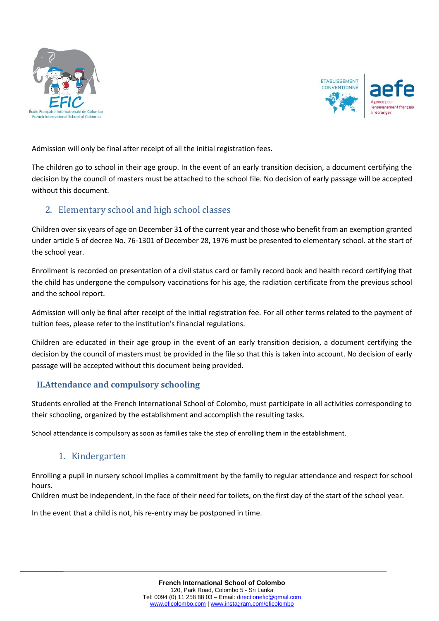



Admission will only be final after receipt of all the initial registration fees.

The children go to school in their age group. In the event of an early transition decision, a document certifying the decision by the council of masters must be attached to the school file. No decision of early passage will be accepted without this document.

# 2. Elementary school and high school classes

Children over six years of age on December 31 of the current year and those who benefit from an exemption granted under article 5 of decree No. 76-1301 of December 28, 1976 must be presented to elementary school. at the start of the school year.

Enrollment is recorded on presentation of a civil status card or family record book and health record certifying that the child has undergone the compulsory vaccinations for his age, the radiation certificate from the previous school and the school report.

Admission will only be final after receipt of the initial registration fee. For all other terms related to the payment of tuition fees, please refer to the institution's financial regulations.

Children are educated in their age group in the event of an early transition decision, a document certifying the decision by the council of masters must be provided in the file so that this is taken into account. No decision of early passage will be accepted without this document being provided.

## **II.Attendance and compulsory schooling**

Students enrolled at the French International School of Colombo, must participate in all activities corresponding to their schooling, organized by the establishment and accomplish the resulting tasks.

School attendance is compulsory as soon as families take the step of enrolling them in the establishment.

## 1. Kindergarten

Enrolling a pupil in nursery school implies a commitment by the family to regular attendance and respect for school hours.

Children must be independent, in the face of their need for toilets, on the first day of the start of the school year.

In the event that a child is not, his re-entry may be postponed in time.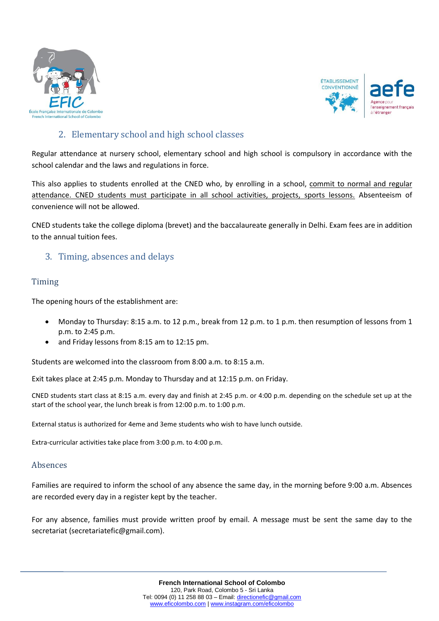



# 2. Elementary school and high school classes

Regular attendance at nursery school, elementary school and high school is compulsory in accordance with the school calendar and the laws and regulations in force.

This also applies to students enrolled at the CNED who, by enrolling in a school, commit to normal and regular attendance. CNED students must participate in all school activities, projects, sports lessons. Absenteeism of convenience will not be allowed.

CNED students take the college diploma (brevet) and the baccalaureate generally in Delhi. Exam fees are in addition to the annual tuition fees.

## 3. Timing, absences and delays

#### Timing

The opening hours of the establishment are:

- Monday to Thursday: 8:15 a.m. to 12 p.m., break from 12 p.m. to 1 p.m. then resumption of lessons from 1 p.m. to 2:45 p.m.
- and Friday lessons from 8:15 am to 12:15 pm.

Students are welcomed into the classroom from 8:00 a.m. to 8:15 a.m.

Exit takes place at 2:45 p.m. Monday to Thursday and at 12:15 p.m. on Friday.

CNED students start class at 8:15 a.m. every day and finish at 2:45 p.m. or 4:00 p.m. depending on the schedule set up at the start of the school year, the lunch break is from 12:00 p.m. to 1:00 p.m.

External status is authorized for 4eme and 3eme students who wish to have lunch outside.

Extra-curricular activities take place from 3:00 p.m. to 4:00 p.m.

#### Absences

Families are required to inform the school of any absence the same day, in the morning before 9:00 a.m. Absences are recorded every day in a register kept by the teacher.

For any absence, families must provide written proof by email. A message must be sent the same day to the secretariat (secretariatefic@gmail.com).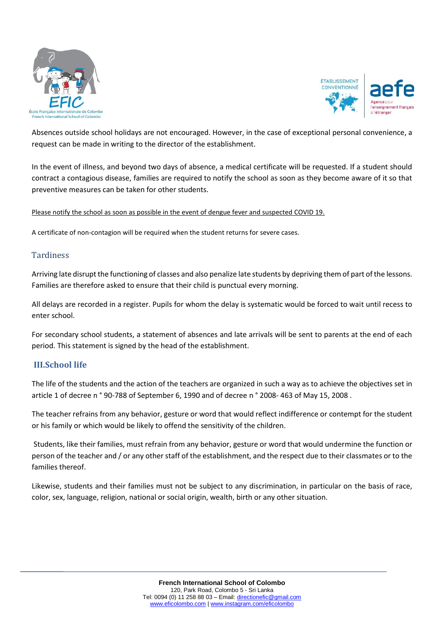



Absences outside school holidays are not encouraged. However, in the case of exceptional personal convenience, a request can be made in writing to the director of the establishment.

In the event of illness, and beyond two days of absence, a medical certificate will be requested. If a student should contract a contagious disease, families are required to notify the school as soon as they become aware of it so that preventive measures can be taken for other students.

#### Please notify the school as soon as possible in the event of dengue fever and suspected COVID 19.

A certificate of non-contagion will be required when the student returns for severe cases.

#### **Tardiness**

Arriving late disrupt the functioning of classes and also penalize late students by depriving them of part of the lessons. Families are therefore asked to ensure that their child is punctual every morning.

All delays are recorded in a register. Pupils for whom the delay is systematic would be forced to wait until recess to enter school.

For secondary school students, a statement of absences and late arrivals will be sent to parents at the end of each period. This statement is signed by the head of the establishment.

#### **III.School life**

The life of the students and the action of the teachers are organized in such a way as to achieve the objectives set in article 1 of decree n ° 90-788 of September 6, 1990 and of decree n ° 2008- 463 of May 15, 2008 .

The teacher refrains from any behavior, gesture or word that would reflect indifference or contempt for the student or his family or which would be likely to offend the sensitivity of the children.

Students, like their families, must refrain from any behavior, gesture or word that would undermine the function or person of the teacher and / or any other staff of the establishment, and the respect due to their classmates or to the families thereof.

Likewise, students and their families must not be subject to any discrimination, in particular on the basis of race, color, sex, language, religion, national or social origin, wealth, birth or any other situation.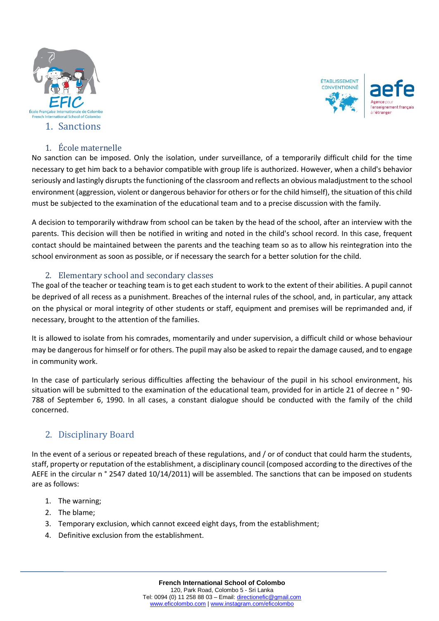



### 1. École maternelle

No sanction can be imposed. Only the isolation, under surveillance, of a temporarily difficult child for the time necessary to get him back to a behavior compatible with group life is authorized. However, when a child's behavior seriously and lastingly disrupts the functioning of the classroom and reflects an obvious maladjustment to the school environment (aggression, violent or dangerous behavior for others or for the child himself), the situation of this child must be subjected to the examination of the educational team and to a precise discussion with the family.

A decision to temporarily withdraw from school can be taken by the head of the school, after an interview with the parents. This decision will then be notified in writing and noted in the child's school record. In this case, frequent contact should be maintained between the parents and the teaching team so as to allow his reintegration into the school environment as soon as possible, or if necessary the search for a better solution for the child.

#### 2. Elementary school and secondary classes

The goal of the teacher or teaching team is to get each student to work to the extent of their abilities. A pupil cannot be deprived of all recess as a punishment. Breaches of the internal rules of the school, and, in particular, any attack on the physical or moral integrity of other students or staff, equipment and premises will be reprimanded and, if necessary, brought to the attention of the families.

It is allowed to isolate from his comrades, momentarily and under supervision, a difficult child or whose behaviour may be dangerous for himself or for others. The pupil may also be asked to repair the damage caused, and to engage in community work.

In the case of particularly serious difficulties affecting the behaviour of the pupil in his school environment, his situation will be submitted to the examination of the educational team, provided for in article 21 of decree n ° 90- 788 of September 6, 1990. In all cases, a constant dialogue should be conducted with the family of the child concerned.

# 2. Disciplinary Board

In the event of a serious or repeated breach of these regulations, and / or of conduct that could harm the students, staff, property or reputation of the establishment, a disciplinary council (composed according to the directives of the AEFE in the circular n° 2547 dated 10/14/2011) will be assembled. The sanctions that can be imposed on students are as follows:

- 1. The warning;
- 2. The blame;
- 3. Temporary exclusion, which cannot exceed eight days, from the establishment;
- 4. Definitive exclusion from the establishment.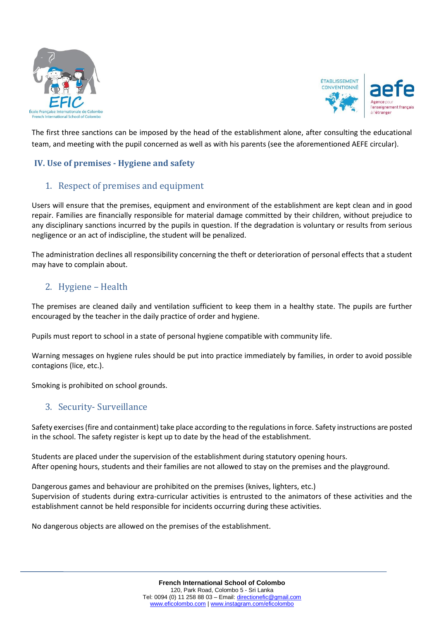



The first three sanctions can be imposed by the head of the establishment alone, after consulting the educational team, and meeting with the pupil concerned as well as with his parents (see the aforementioned AEFE circular).

# **IV. Use of premises - Hygiene and safety**

# 1. Respect of premises and equipment

Users will ensure that the premises, equipment and environment of the establishment are kept clean and in good repair. Families are financially responsible for material damage committed by their children, without prejudice to any disciplinary sanctions incurred by the pupils in question. If the degradation is voluntary or results from serious negligence or an act of indiscipline, the student will be penalized.

The administration declines all responsibility concerning the theft or deterioration of personal effects that a student may have to complain about.

# 2. Hygiene – Health

The premises are cleaned daily and ventilation sufficient to keep them in a healthy state. The pupils are further encouraged by the teacher in the daily practice of order and hygiene.

Pupils must report to school in a state of personal hygiene compatible with community life.

Warning messages on hygiene rules should be put into practice immediately by families, in order to avoid possible contagions (lice, etc.).

Smoking is prohibited on school grounds.

## 3. Security- Surveillance

Safety exercises (fire and containment) take place according to the regulations in force. Safety instructions are posted in the school. The safety register is kept up to date by the head of the establishment.

Students are placed under the supervision of the establishment during statutory opening hours. After opening hours, students and their families are not allowed to stay on the premises and the playground.

Dangerous games and behaviour are prohibited on the premises (knives, lighters, etc.) Supervision of students during extra-curricular activities is entrusted to the animators of these activities and the establishment cannot be held responsible for incidents occurring during these activities.

No dangerous objects are allowed on the premises of the establishment.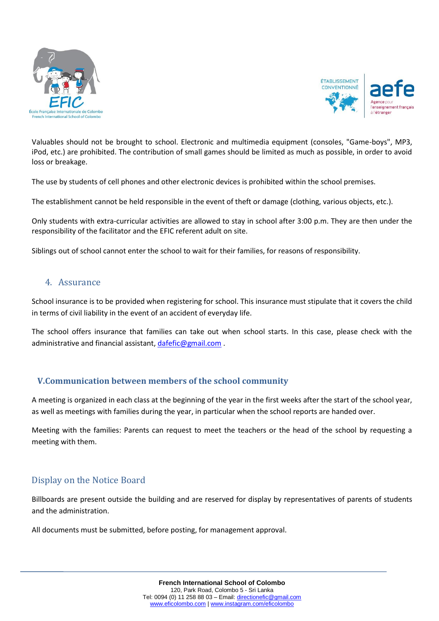



Valuables should not be brought to school. Electronic and multimedia equipment (consoles, "Game-boys", MP3, iPod, etc.) are prohibited. The contribution of small games should be limited as much as possible, in order to avoid loss or breakage.

The use by students of cell phones and other electronic devices is prohibited within the school premises.

The establishment cannot be held responsible in the event of theft or damage (clothing, various objects, etc.).

Only students with extra-curricular activities are allowed to stay in school after 3:00 p.m. They are then under the responsibility of the facilitator and the EFIC referent adult on site.

Siblings out of school cannot enter the school to wait for their families, for reasons of responsibility.

### 4. Assurance

School insurance is to be provided when registering for school. This insurance must stipulate that it covers the child in terms of civil liability in the event of an accident of everyday life.

The school offers insurance that families can take out when school starts. In this case, please check with the administrative and financial assistant, [dafefic@gmail.com](mailto:dafefic@gmail.com) .

#### **V.Communication between members of the school community**

A meeting is organized in each class at the beginning of the year in the first weeks after the start of the school year, as well as meetings with families during the year, in particular when the school reports are handed over.

Meeting with the families: Parents can request to meet the teachers or the head of the school by requesting a meeting with them.

## Display on the Notice Board

Billboards are present outside the building and are reserved for display by representatives of parents of students and the administration.

All documents must be submitted, before posting, for management approval.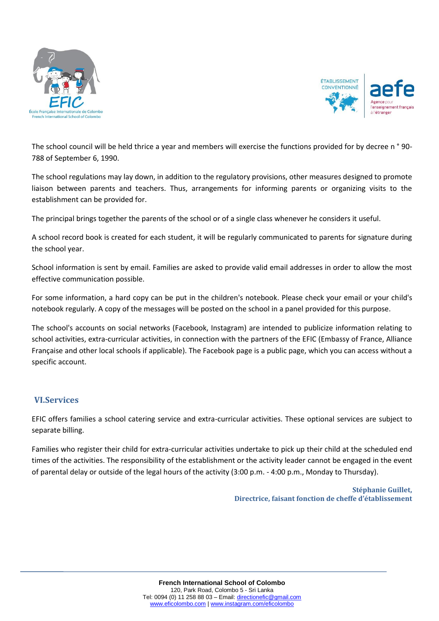



The school council will be held thrice a year and members will exercise the functions provided for by decree n ° 90- 788 of September 6, 1990.

The school regulations may lay down, in addition to the regulatory provisions, other measures designed to promote liaison between parents and teachers. Thus, arrangements for informing parents or organizing visits to the establishment can be provided for.

The principal brings together the parents of the school or of a single class whenever he considers it useful.

A school record book is created for each student, it will be regularly communicated to parents for signature during the school year.

School information is sent by email. Families are asked to provide valid email addresses in order to allow the most effective communication possible.

For some information, a hard copy can be put in the children's notebook. Please check your email or your child's notebook regularly. A copy of the messages will be posted on the school in a panel provided for this purpose.

The school's accounts on social networks (Facebook, Instagram) are intended to publicize information relating to school activities, extra-curricular activities, in connection with the partners of the EFIC (Embassy of France, Alliance Française and other local schools if applicable). The Facebook page is a public page, which you can access without a specific account.

#### **VI.Services**

EFIC offers families a school catering service and extra-curricular activities. These optional services are subject to separate billing.

Families who register their child for extra-curricular activities undertake to pick up their child at the scheduled end times of the activities. The responsibility of the establishment or the activity leader cannot be engaged in the event of parental delay or outside of the legal hours of the activity (3:00 p.m. - 4:00 p.m., Monday to Thursday).

> **Stéphanie Guillet, Directrice, faisant fonction de cheffe d'établissement**